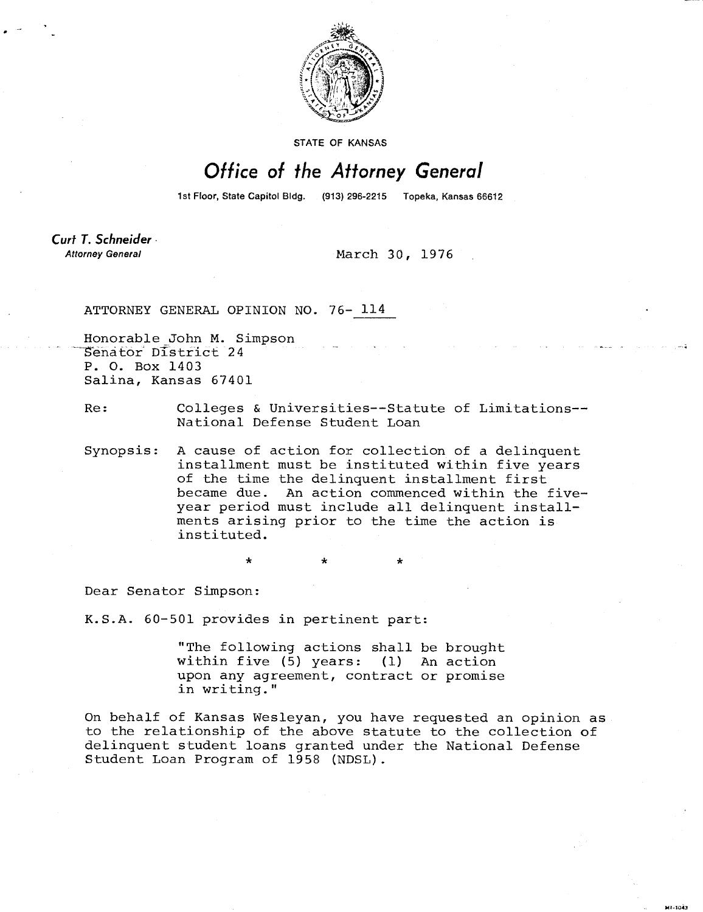

STATE OF KANSAS

## Office of the Attorney General

1st Floor, State Capitol Bldg. (913) 296-2215 Topeka, Kansas 66612

Curt T. Schneider **Attorney General** 

March 30, 1976

ATTORNEY GENERAL OPINION NO. 76- 114

Honorable John M. Simpson Senator' District 24 P. 0. Box 1403 Salina, Kansas 67401

Re: Colleges & Universities--Statute of Limitations-- National Defense Student Loan

Synopsis: A cause of action for collection of a delinquent installment must be instituted within five years of the time the delinquent installment first became due. An action commenced within the fiveyear period must include all delinquent installments arising prior to the time the action is instituted.

Dear Senator Simpson:

K.S.A. 60-501 provides in pertinent part:

"The following actions shall be brought within five (5) years: (1) An action upon any agreement, contract or promise in writing."

On behalf of Kansas Wesleyan, you have requested an opinion as to the relationship of the above statute to the collection of delinquent student loans granted under the National Defense Student Loan Program of 1958 (NDSL).

)41.4a43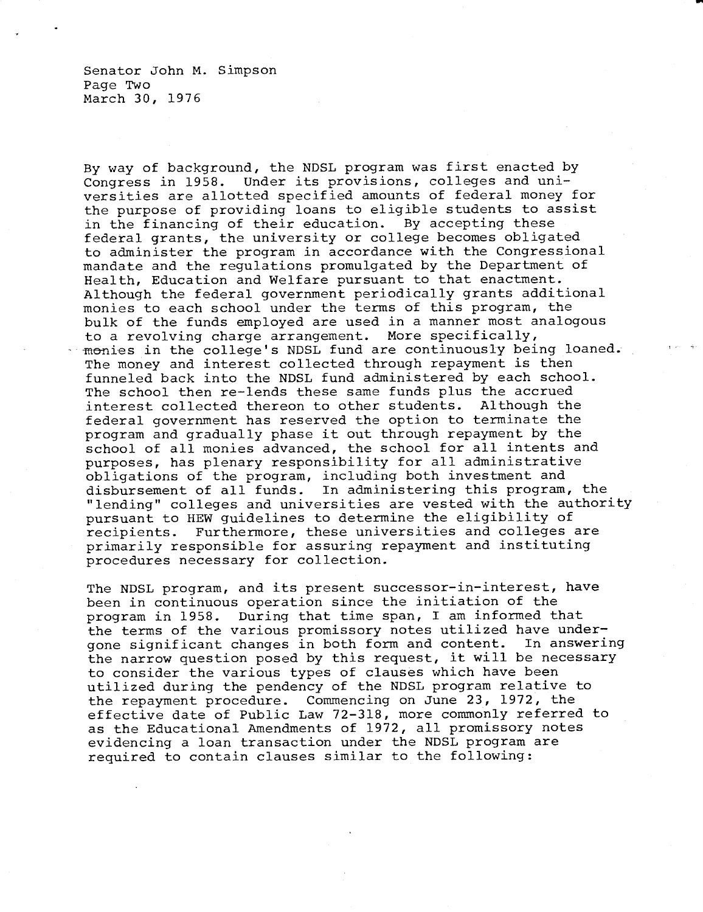Senator John M. Simpson Page Two March 30, 1976

By way of background, the NDSL program was first enacted by Congress in 1958. Under its provisions, colleges and universities are allotted specified amounts of federal money for the purpose of providing loans to eligible students to assist in the financing of their education. By accepting these federal grants, the university or college becomes obligated to administer the program in accordance with the Congressional mandate and the regulations promulgated by the Department of Health, Education and Welfare pursuant to that enactment. Although the federal government periodically grants additional monies to each school under the terms of this program, the bulk of the funds employed are used in a manner most analogous to a revolving charge arrangement. More specifically, monies in the college's NDSL fund are continuously being loaned. The money and interest collected through repayment is then funneled back into the NDSL fund administered by each school. The school then re-lends these same funds plus the accrued interest collected thereon to other students. Although the federal government has reserved the option to terminate the program and gradually phase it out through repayment by the school of all monies advanced, the school for all intents and purposes, has plenary responsibility for all administrative obligations of the program, including both investment and disbursement of all funds. In administering this program, the "lending" colleges and universities are vested with the authority pursuant to HEW guidelines to determine the eligibility of recipients. Furthermore, these universities and colleges are primarily responsible for assuring repayment and instituting procedures necessary for collection.

The NDSL program, and its present successor-in-interest, have been in continuous operation since the initiation of the program in 1958. During that time span, I am informed that the terms of the various promissory notes utilized have undergone significant changes in both form and content. In answering the narrow question posed by this request, it will be necessary to consider the various types of clauses which have been utilized during the pendency of the NDSL program relative to the repayment procedure. Commencing on June 23, 1972, the effective date of Public Law 72-318, more commonly referred to as the Educational Amendments of 1972, all promissory notes evidencing a loan transaction under the NDSL program are required to contain clauses similar to the following: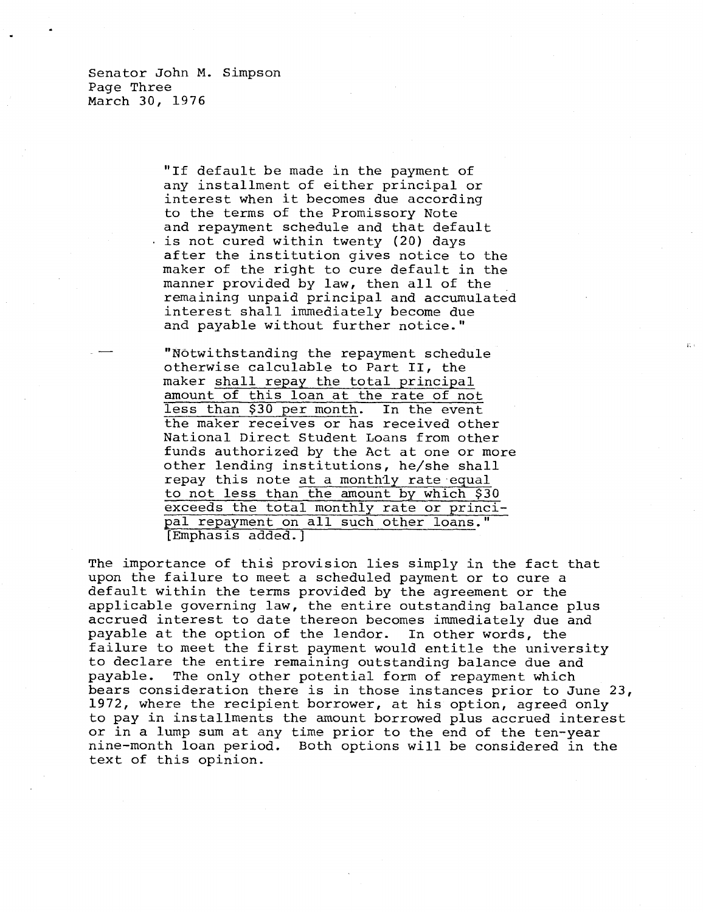Senator John M. Simpson Page Three March 30, 1976

> "If default be made in the payment of any installment of either principal or interest when it becomes due according to the terms of the Promissory Note and repayment schedule and that default is not cured within twenty (20) days after the institution gives notice to the maker of the right to cure default in the manner provided by law, then all of the remaining unpaid principal and accumulated interest shall immediately become due and payable without further notice."

"Notwithstanding the repayment schedule otherwise calculable to Part II, the maker shall repay the total principal amount of this loan at the rate of not less than \$30 per month. In the event the maker receives or has received other National Direct Student Loans from other funds authorized by the Act at one or more other lending institutions, he/she shall repay this note at a monthly rate equal to not less than the amount by which \$30 exceeds the total monthly rate or principal repayment on all such other loans." [Emphasis added.]

The importance of this provision lies simply in the fact that upon the failure to meet a scheduled payment or to cure a default within the terms provided by the agreement or the applicable governing law, the entire outstanding balance plus accrued interest to date thereon becomes immediately due and payable at the option of the lendor. In other words, the failure to meet the first payment would entitle the university to declare the entire remaining outstanding balance due and payable. The only other potential form of repayment which bears consideration there is in those instances prior to June 23, 1972, where the recipient borrower, at his option, agreed only to pay in installments the amount borrowed plus accrued interest or in a lump sum at any time prior to the end of the ten-year nine-month loan period. Both options will be considered in the text of this opinion.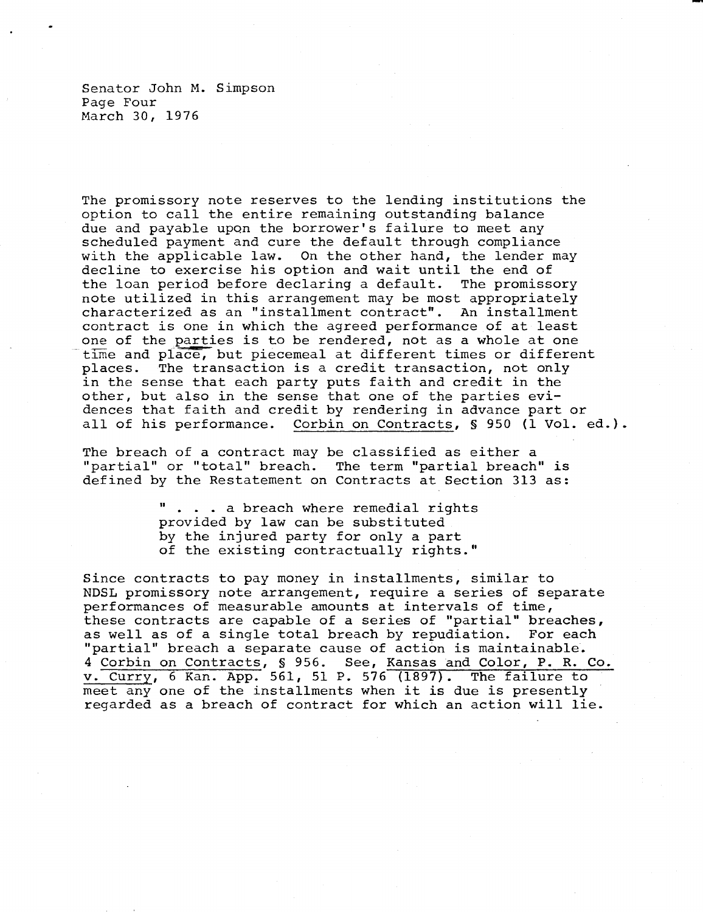Senator John M. Simpson Page Four March 30, 1976

The promissory note reserves to the lending institutions the option to call the entire remaining outstanding balance due and payable upon the borrower's failure to meet any scheduled payment and cure the default through compliance with the applicable law. On the other hand, the lender may decline to exercise his option and wait until the end of the loan period before declaring a default. The promissory note utilized in this arrangement may be most appropriately characterized as an "installment contract". An installment contract is one in which the agreed performance of at least one of the parties is to be rendered, not as a whole at one time and place, but piecemeal at different times or different places. The transaction is a credit transaction, not only in the sense that each party puts faith and credit in the other, but also in the sense that one of the parties evidences that faith and credit by rendering in advance part or all of his performance. Corbin on Contracts, § 950 (1 Vol. ed.).

The breach of a contract may be classified as either a "partial" or "total" breach. The term "partial breach" is defined by the Restatement on Contracts at Section 313 as:

> . . . a breach where remedial rights provided by law can be substituted by the injured party for only a part of the existing contractually rights."

Since contracts to pay money in installments, similar to NDSL promissory note arrangement, require a series of separate performances of measurable amounts at intervals of time, these contracts are capable of a series of "partial" breaches, as well as of a single total breach by repudiation. For each "partial" breach a separate cause of action is maintainable. 4 Corbin on Contracts, § 956. See, Kansas and Color, P. R. Co. v. Curry, 6 Kan. App. 561, 51 P. 576 (1897). The failure to meet any one of the installments when it is due is presently regarded as a breach of contract for which an action will lie.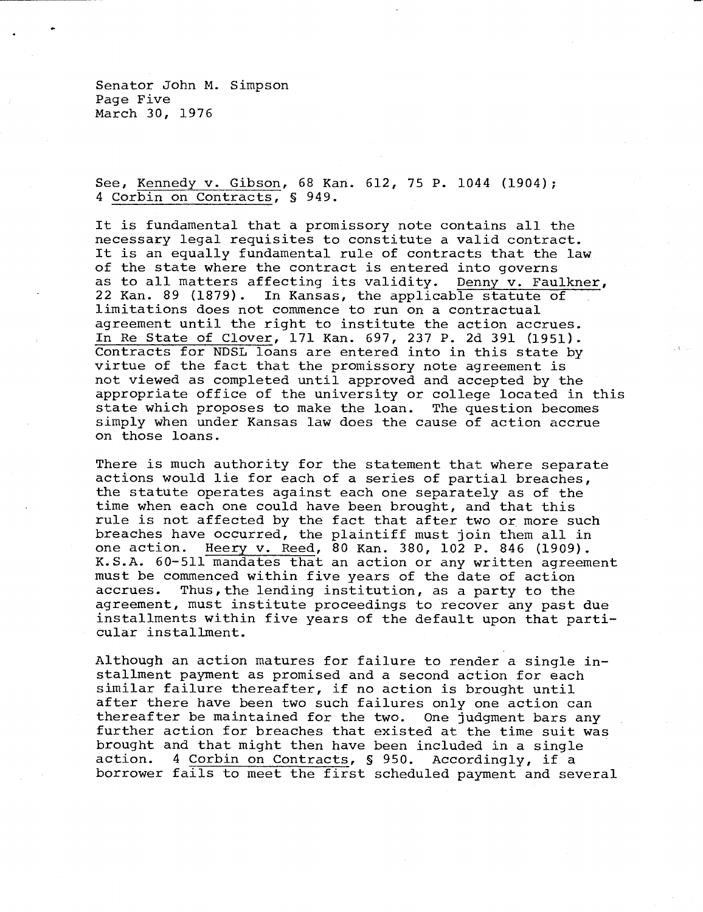Senator John M. Simpson Page Five March 30, 1976

See, Kennedy v. Gibson, 68 Kan. 612, 75 P. 1044 (1904); 4 Corbin on Contracts, § 949.

It is fundamental that a promissory note contains all the necessary legal requisites to constitute a valid contract. It is an equally fundamental rule of contracts that the law of the state where the contract is entered into governs as to all matters affecting its validity. Denny v. Faulkner, 22 Kan. 89 (1879). In Kansas, the applicable statute of limitations does not commence to run on a contractual agreement until the right to institute the action accrues. In Re State of Clover, 171 Kan. 697, 237 P. 2d 391 (1951). Contracts for NDSL loans are entered into in this state by virtue of the fact that the promissory note agreement is not viewed as completed until approved and accepted by the appropriate office of the university or college located in this state which proposes to make the loan. The question becomes simply when under Kansas law does the cause of action accrue on those loans.

There is much authority for the statement that where separate actions would lie for each of a series of partial breaches, the statute operates against each one separately as of the time when each one could have been brought, and that this rule is not affected by the fact that after two or more such breaches have occurred, the plaintiff must join them all in one action. Heery v. Reed, 80 Kan. 380, 102 P. 846 (1909). K.S.A. 60-511 mandates that an action or any written agreement must be commenced within five years of the date of action accrues. Thus, the lending institution, as a party to the agreement, must institute proceedings to recover any past due installments within five years of the default upon that particular installment.

Although an action matures for failure to render a single installment payment as promised and a second action for each similar failure thereafter, if no action is brought until after there have been two such failures only one action can thereafter be maintained for the two. One judgment bars any further action for breaches that existed at the time suit was brought and that might then have been included in a single action. 4 Corbin on Contracts, § 950. Accordingly, if a borrower fails to meet the first scheduled payment and several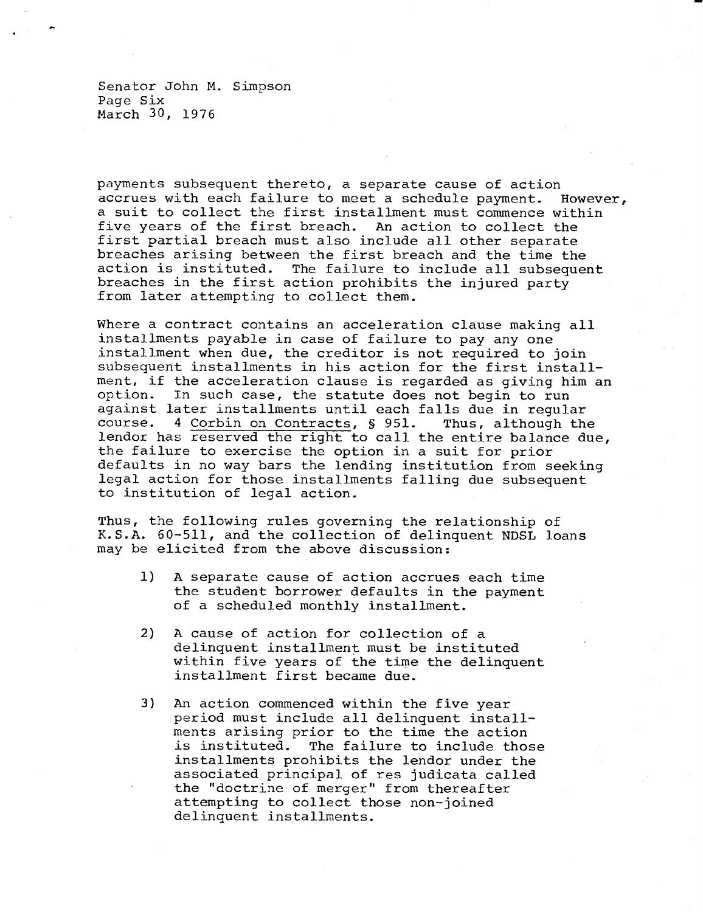Senator John M. Simpson Page Six March 30, 1976

payments subsequent thereto, a separate cause of action accrues with each failure to meet a schedule payment. However, a suit to collect the first installment must commence within five years of the first breach. An action to collect the first partial breach must also include all other separate breaches arising between the first breach and the time the action is instituted. The failure to include all subsequer The failure to include all subsequent breaches in the first action prohibits the injured party from later attempting to collect them.

Where a contract contains an acceleration clause making all installments payable in case of failure to pay any one installment when due, the creditor is not required to join subsequent installments in his action for the first installment, if the acceleration clause is regarded as giving him an option. In such case, the statute does not begin to run against later installments until each falls due in regular course. 4 Corbin on Contracts, § 951. Thus, although the lendor has reserved the right to call the entire balance due, the failure to exercise the option in a suit for prior defaults in no way bars the lending institution from seeking legal action for those installments falling due subsequent to institution of legal action.

Thus, the following rules governing the relationship of K.S.A. 60-511, and the collection of delinquent NDSL loans may be elicited from the above discussion:

- 1) A separate cause of action accrues each time the student borrower defaults in the payment of a scheduled monthly installment.
- 2) A cause of action for collection of a delinquent installment must be instituted within five years of the time the delinquent installment first became due.
- 3) An action commenced within the five year period must include all delinquent installments arising prior to the time the action is instituted. The failure to include those installments prohibits the lendor under the associated principal of res judicata called the "doctrine of merger" from thereafter attempting to collect those non-joined delinquent installments.